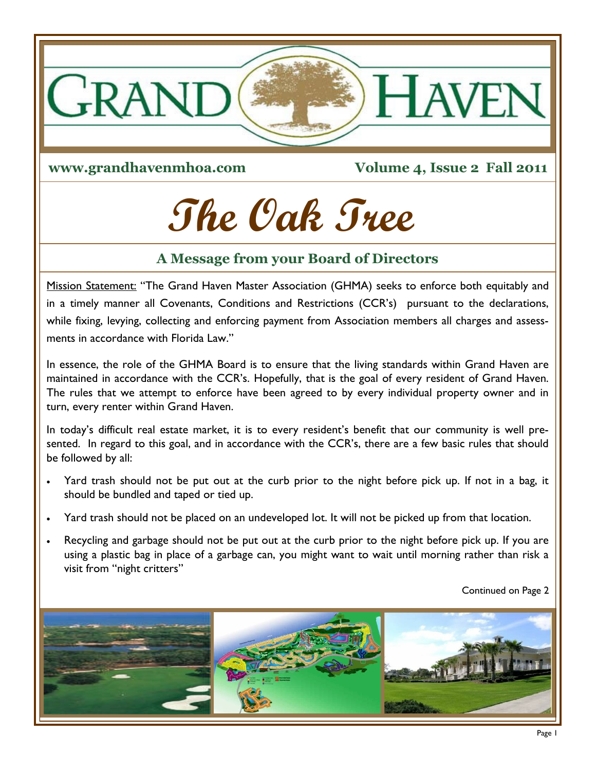

**www.grandhavenmhoa.com**

**Volume 4, Issue 2 Fall 2011**

# **The Oak Tree**

# **A Message from your Board of Directors**

Mission Statement: "The Grand Haven Master Association (GHMA) seeks to enforce both equitably and in a timely manner all Covenants, Conditions and Restrictions (CCR's) pursuant to the declarations, while fixing, levying, collecting and enforcing payment from Association members all charges and assessments in accordance with Florida Law."

In essence, the role of the GHMA Board is to ensure that the living standards within Grand Haven are maintained in accordance with the CCR's. Hopefully, that is the goal of every resident of Grand Haven. The rules that we attempt to enforce have been agreed to by every individual property owner and in turn, every renter within Grand Haven.

In today's difficult real estate market, it is to every resident's benefit that our community is well presented. In regard to this goal, and in accordance with the CCR's, there are a few basic rules that should be followed by all:

- Yard trash should not be put out at the curb prior to the night before pick up. If not in a bag, it should be bundled and taped or tied up.
- Yard trash should not be placed on an undeveloped lot. It will not be picked up from that location.
- Recycling and garbage should not be put out at the curb prior to the night before pick up. If you are using a plastic bag in place of a garbage can, you might want to wait until morning rather than risk a visit from "night critters"

Continued on Page 2

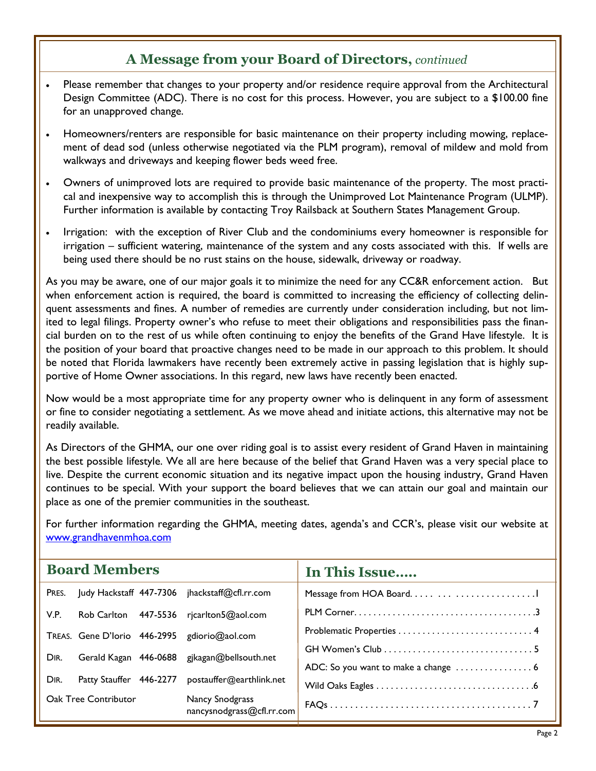# **A Message from your Board of Directors,** *continued*

- Please remember that changes to your property and/or residence require approval from the Architectural Design Committee (ADC). There is no cost for this process. However, you are subject to a \$100.00 fine for an unapproved change.
- Homeowners/renters are responsible for basic maintenance on their property including mowing, replacement of dead sod (unless otherwise negotiated via the PLM program), removal of mildew and mold from walkways and driveways and keeping flower beds weed free.
- Owners of unimproved lots are required to provide basic maintenance of the property. The most practical and inexpensive way to accomplish this is through the Unimproved Lot Maintenance Program (ULMP). Further information is available by contacting Troy Railsback at Southern States Management Group.
- Irrigation: with the exception of River Club and the condominiums every homeowner is responsible for irrigation – sufficient watering, maintenance of the system and any costs associated with this. If wells are being used there should be no rust stains on the house, sidewalk, driveway or roadway.

As you may be aware, one of our major goals it to minimize the need for any CC&R enforcement action. But when enforcement action is required, the board is committed to increasing the efficiency of collecting delinquent assessments and fines. A number of remedies are currently under consideration including, but not limited to legal filings. Property owner's who refuse to meet their obligations and responsibilities pass the financial burden on to the rest of us while often continuing to enjoy the benefits of the Grand Have lifestyle. It is the position of your board that proactive changes need to be made in our approach to this problem. It should be noted that Florida lawmakers have recently been extremely active in passing legislation that is highly supportive of Home Owner associations. In this regard, new laws have recently been enacted.

Now would be a most appropriate time for any property owner who is delinquent in any form of assessment or fine to consider negotiating a settlement. As we move ahead and initiate actions, this alternative may not be readily available.

As Directors of the GHMA, our one over riding goal is to assist every resident of Grand Haven in maintaining the best possible lifestyle. We all are here because of the belief that Grand Haven was a very special place to live. Despite the current economic situation and its negative impact upon the housing industry, Grand Haven continues to be special. With your support the board believes that we can attain our goal and maintain our place as one of the premier communities in the southeast.

For further information regarding the GHMA, meeting dates, agenda's and CCR's, please visit our website at www.grandhavenmhoa.com

| <b>Board Members</b>        |                         |  |                                               | In This Issue |
|-----------------------------|-------------------------|--|-----------------------------------------------|---------------|
| PRES.                       |                         |  | Judy Hackstaff 447-7306 jhackstaff@cfl.rr.com |               |
| V.P.                        |                         |  | Rob Carlton 447-5536 rjcarlton5@aol.com       |               |
|                             |                         |  | TREAS. Gene D'Iorio 446-2995 gdiorio@aol.com  |               |
| DIR.                        |                         |  | Gerald Kagan 446-0688 gjkagan@bellsouth.net   |               |
|                             |                         |  |                                               |               |
| DIR.                        | Patty Stauffer 446-2277 |  | postauffer@earthlink.net                      |               |
| <b>Oak Tree Contributor</b> |                         |  | Nancy Snodgrass<br>nancysnodgrass@cfl.rr.com  |               |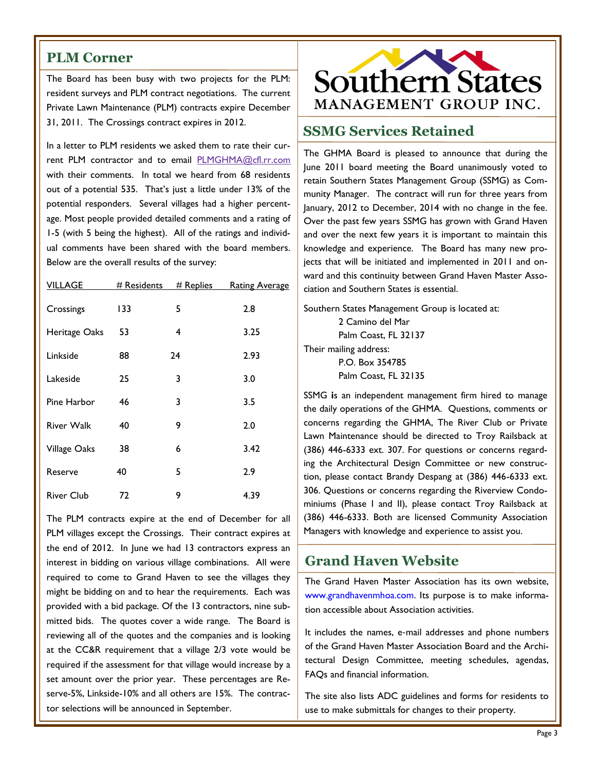#### **PLM Corner**

The Board has been busy with two projects for the PLM: resident surveys and PLM contract negotiations. The current Private Lawn Maintenance (PLM) contracts expire December 31, 2011. The Crossings contract expires in 2012.

In a letter to PLM residents we asked them to rate their cur-rent PLM contractor and to email [PLMGHMA@cfl.rr.com](mailto:PLMGHMA@cfl.rr.com) with their comments. In total we heard from 68 residents out of a potential 535. That's just a little under 13% of the potential responders. Several villages had a higher percentage. Most people provided detailed comments and a rating of 1-5 (with 5 being the highest). All of the ratings and individual comments have been shared with the board members. Below are the overall results of the survey:

| <b>VILLAGE</b>    | # Residents | # Replies | <b>Rating Average</b> |
|-------------------|-------------|-----------|-----------------------|
| Crossings         | 133         | 5         | 2.8                   |
| Heritage Oaks     | 53          | 4         | 3.25                  |
| Linkside          | 88          | 24        | 2.93                  |
| Lakeside          | 25          | 3         | 3.0                   |
| Pine Harbor       | 46          | 3         | 3.5                   |
| <b>River Walk</b> | 40          | 9         | 2.0                   |
| Village Oaks      | 38          | 6         | 3.42                  |
| Reserve           | 40          | 5         | 2.9                   |
| <b>River Club</b> | 72          | 9         | 4.39                  |

The PLM contracts expire at the end of December for all PLM villages except the Crossings. Their contract expires at the end of 2012. In June we had 13 contractors express an interest in bidding on various village combinations. All were required to come to Grand Haven to see the villages they might be bidding on and to hear the requirements. Each was provided with a bid package. Of the 13 contractors, nine submitted bids. The quotes cover a wide range. The Board is reviewing all of the quotes and the companies and is looking at the CC&R requirement that a village 2/3 vote would be required if the assessment for that village would increase by a set amount over the prior year. These percentages are Reserve-5%, Linkside-10% and all others are 15%. The contractor selections will be announced in September.



## **SSMG Services Retained**

The GHMA Board is pleased to announce that during the June 2011 board meeting the Board unanimously voted to retain Southern States Management Group (SSMG) as Community Manager. The contract will run for three years from January, 2012 to December, 2014 with no change in the fee. Over the past few years SSMG has grown with Grand Haven and over the next few years it is important to maintain this knowledge and experience. The Board has many new projects that will be initiated and implemented in 2011 and onward and this continuity between Grand Haven Master Association and Southern States is essential.

Southern States Management Group is located at: 2 Camino del Mar Palm Coast, FL 32137 Their mailing address: P.O. Box 354785 Palm Coast, FL 32135

SSMG **i**s an independent management firm hired to manage the daily operations of the GHMA. Questions, comments or concerns regarding the GHMA, The River Club or Private Lawn Maintenance should be directed to Troy Railsback at (386) 446-6333 ext. 307. For questions or concerns regarding the Architectural Design Committee or new construction, please contact Brandy Despang at (386) 446-6333 ext. 306. Questions or concerns regarding the Riverview Condominiums (Phase I and II), please contact Troy Railsback at (386) 446-6333. Both are licensed Community Association Managers with knowledge and experience to assist you.

## **Grand Haven Website**

The Grand Haven Master Association has its own website, www.grandhavenmhoa.com. Its purpose is to make information accessible about Association activities.

It includes the names, e‐mail addresses and phone numbers of the Grand Haven Master Association Board and the Architectural Design Committee, meeting schedules, agendas, FAQs and financial information.

The site also lists ADC guidelines and forms for residents to use to make submittals for changes to their property.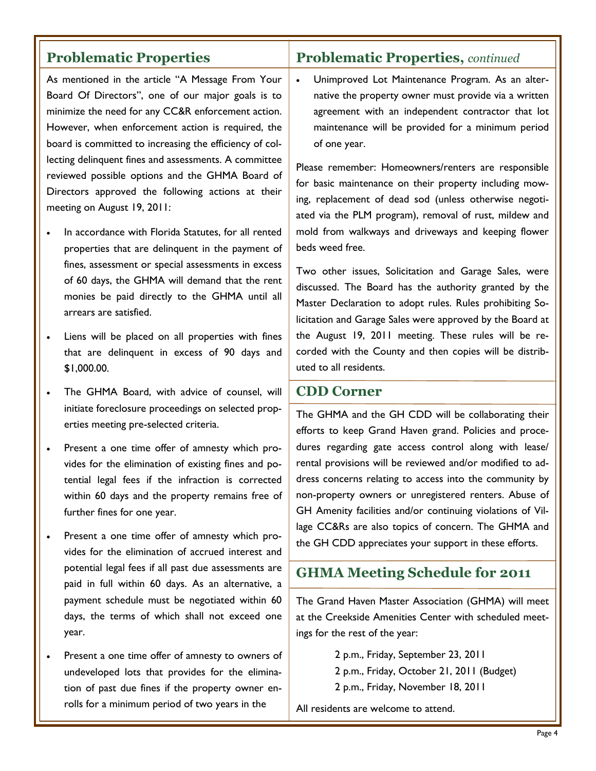# **Problematic Properties**

As mentioned in the article "A Message From Your Board Of Directors", one of our major goals is to minimize the need for any CC&R enforcement action. However, when enforcement action is required, the board is committed to increasing the efficiency of collecting delinquent fines and assessments. A committee reviewed possible options and the GHMA Board of Directors approved the following actions at their meeting on August 19, 2011:

- In accordance with Florida Statutes, for all rented properties that are delinquent in the payment of fines, assessment or special assessments in excess of 60 days, the GHMA will demand that the rent monies be paid directly to the GHMA until all arrears are satisfied.
- Liens will be placed on all properties with fines that are delinquent in excess of 90 days and \$1,000.00.
- The GHMA Board, with advice of counsel, will initiate foreclosure proceedings on selected properties meeting pre-selected criteria.
- Present a one time offer of amnesty which provides for the elimination of existing fines and potential legal fees if the infraction is corrected within 60 days and the property remains free of further fines for one year.
- Present a one time offer of amnesty which provides for the elimination of accrued interest and potential legal fees if all past due assessments are paid in full within 60 days. As an alternative, a payment schedule must be negotiated within 60 days, the terms of which shall not exceed one year.
- Present a one time offer of amnesty to owners of undeveloped lots that provides for the elimination of past due fines if the property owner enrolls for a minimum period of two years in the

## **Problematic Properties,** *continued*

 Unimproved Lot Maintenance Program. As an alternative the property owner must provide via a written agreement with an independent contractor that lot maintenance will be provided for a minimum period of one year.

Please remember: Homeowners/renters are responsible for basic maintenance on their property including mowing, replacement of dead sod (unless otherwise negotiated via the PLM program), removal of rust, mildew and mold from walkways and driveways and keeping flower beds weed free.

Two other issues, Solicitation and Garage Sales, were discussed. The Board has the authority granted by the Master Declaration to adopt rules. Rules prohibiting Solicitation and Garage Sales were approved by the Board at the August 19, 2011 meeting. These rules will be recorded with the County and then copies will be distributed to all residents.

#### **CDD Corner**

The GHMA and the GH CDD will be collaborating their efforts to keep Grand Haven grand. Policies and procedures regarding gate access control along with lease/ rental provisions will be reviewed and/or modified to address concerns relating to access into the community by non-property owners or unregistered renters. Abuse of GH Amenity facilities and/or continuing violations of Village CC&Rs are also topics of concern. The GHMA and the GH CDD appreciates your support in these efforts.

#### **GHMA Meeting Schedule for 2011**

The Grand Haven Master Association (GHMA) will meet at the Creekside Amenities Center with scheduled meetings for the rest of the year:

> 2 p.m., Friday, September 23, 2011 2 p.m., Friday, October 21, 2011 (Budget) 2 p.m., Friday, November 18, 2011

All residents are welcome to attend.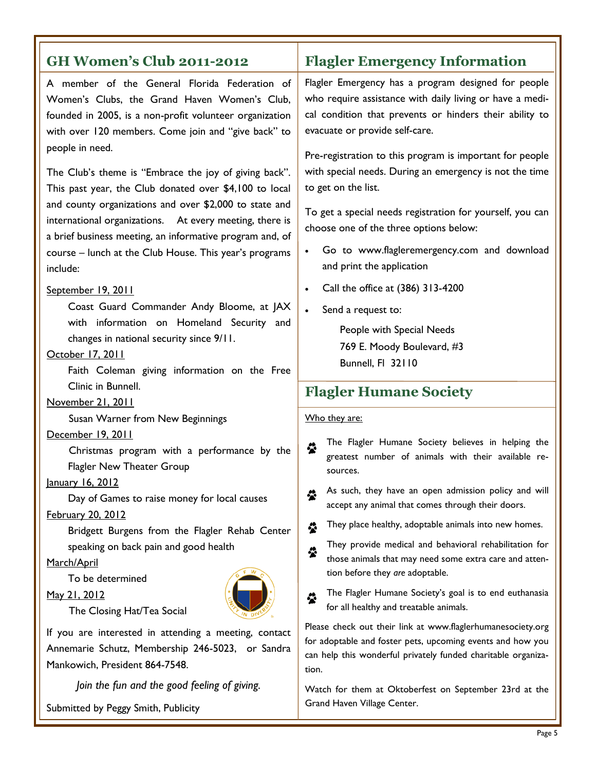| <b>GH Women's Club 2011-2012</b>                                                                                                                                                                                                                                                                                                                                       | <b>Flagler Emergency Information</b>                                                                                                                                                                                                                                                                                                                                                                                                                 |
|------------------------------------------------------------------------------------------------------------------------------------------------------------------------------------------------------------------------------------------------------------------------------------------------------------------------------------------------------------------------|------------------------------------------------------------------------------------------------------------------------------------------------------------------------------------------------------------------------------------------------------------------------------------------------------------------------------------------------------------------------------------------------------------------------------------------------------|
| A member of the General Florida Federation of<br>Women's Clubs, the Grand Haven Women's Club,<br>founded in 2005, is a non-profit volunteer organization<br>with over 120 members. Come join and "give back" to<br>people in need.                                                                                                                                     | Flagler Emergency has a program designed for people<br>who require assistance with daily living or have a medi-<br>cal condition that prevents or hinders their ability to<br>evacuate or provide self-care.<br>Pre-registration to this program is important for people                                                                                                                                                                             |
| The Club's theme is "Embrace the joy of giving back".<br>This past year, the Club donated over \$4,100 to local<br>and county organizations and over \$2,000 to state and<br>international organizations. At every meeting, there is<br>a brief business meeting, an informative program and, of<br>course - lunch at the Club House. This year's programs<br>include: | with special needs. During an emergency is not the time<br>to get on the list.<br>To get a special needs registration for yourself, you can<br>choose one of the three options below:<br>Go to www.flagleremergency.com and download<br>and print the application                                                                                                                                                                                    |
| September 19, 2011<br>Coast Guard Commander Andy Bloome, at JAX<br>with information on Homeland Security and<br>changes in national security since 9/11.<br>October 17, 2011<br>Faith Coleman giving information on the Free                                                                                                                                           | Call the office at (386) 313-4200<br>Send a request to:<br>$\bullet$<br>People with Special Needs<br>769 E. Moody Boulevard, #3<br>Bunnell, FI 32110                                                                                                                                                                                                                                                                                                 |
| Clinic in Bunnell.<br>November 21, 2011                                                                                                                                                                                                                                                                                                                                | <b>Flagler Humane Society</b>                                                                                                                                                                                                                                                                                                                                                                                                                        |
| Susan Warner from New Beginnings<br>December 19, 2011<br>Christmas program with a performance by the<br>Flagler New Theater Group<br>January 16, 2012<br>Day of Games to raise money for local causes<br>February 20, 2012<br>Bridgett Burgens from the Flagler Rehab Center<br>speaking on back pain and good health<br>March/April                                   | Who they are:<br>The Flagler Humane Society believes in helping the<br>♧<br>greatest number of animals with their available re-<br>sources.<br>As such, they have an open admission policy and will<br>♧<br>accept any animal that comes through their doors.<br>They place healthy, adoptable animals into new homes.<br>♧<br>They provide medical and behavioral rehabilitation for<br>☆<br>those animals that may need some extra care and atten- |
| To be determined<br>May 21, 2012<br>The Closing Hat/Tea Social                                                                                                                                                                                                                                                                                                         | tion before they are adoptable.<br>The Flagler Humane Society's goal is to end euthanasia<br>♧<br>for all healthy and treatable animals.                                                                                                                                                                                                                                                                                                             |
| If you are interested in attending a meeting, contact<br>Annemarie Schutz, Membership 246-5023, or Sandra<br>Mankowich, President 864-7548.<br>Join the fun and the good feeling of giving.                                                                                                                                                                            | Please check out their link at www.flaglerhumanesociety.org<br>for adoptable and foster pets, upcoming events and how you<br>can help this wonderful privately funded charitable organiza-<br>tion.                                                                                                                                                                                                                                                  |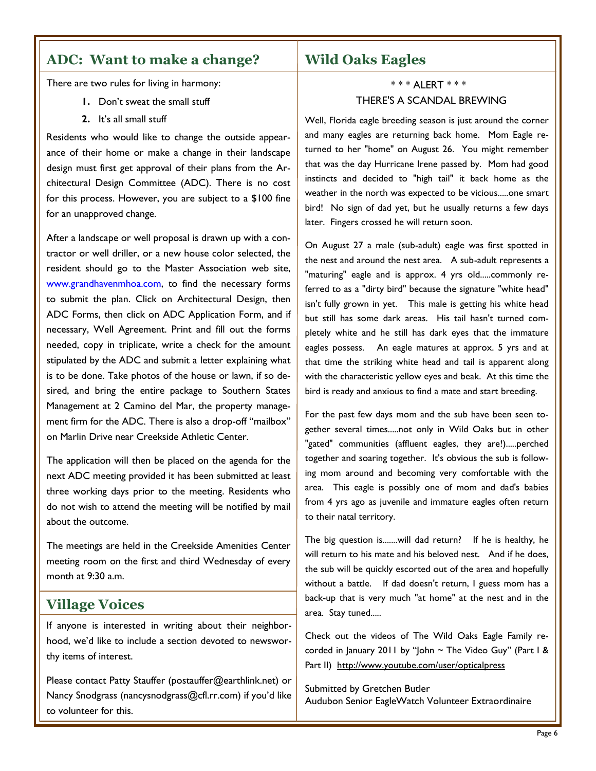# **ADC: Want to make a change?**

There are two rules for living in harmony:

- **1.** Don't sweat the small stuff
- **2.** It's all small stuff

Residents who would like to change the outside appearance of their home or make a change in their landscape design must first get approval of their plans from the Architectural Design Committee (ADC). There is no cost for this process. However, you are subject to a \$100 fine for an unapproved change.

After a landscape or well proposal is drawn up with a contractor or well driller, or a new house color selected, the resident should go to the Master Association web site, www.grandhavenmhoa.com, to find the necessary forms to submit the plan. Click on Architectural Design, then ADC Forms, then click on ADC Application Form, and if necessary, Well Agreement. Print and fill out the forms needed, copy in triplicate, write a check for the amount stipulated by the ADC and submit a letter explaining what is to be done. Take photos of the house or lawn, if so desired, and bring the entire package to Southern States Management at 2 Camino del Mar, the property management firm for the ADC. There is also a drop-off "mailbox" on Marlin Drive near Creekside Athletic Center.

The application will then be placed on the agenda for the next ADC meeting provided it has been submitted at least three working days prior to the meeting. Residents who do not wish to attend the meeting will be notified by mail about the outcome.

The meetings are held in the Creekside Amenities Center meeting room on the first and third Wednesday of every month at 9:30 a.m.

#### **Village Voices**

If anyone is interested in writing about their neighborhood, we'd like to include a section devoted to newsworthy items of interest.

Please contact Patty Stauffer (postauffer@earthlink.net) or Nancy Snodgrass (nancysnodgrass@cfl.rr.com) if you'd like to volunteer for this.

## **Wild Oaks Eagles**

#### \* \* \* ALERT \* \* \* THERE'S A SCANDAL BREWING

Well, Florida eagle breeding season is just around the corner and many eagles are returning back home. Mom Eagle returned to her "home" on August 26. You might remember that was the day Hurricane Irene passed by. Mom had good instincts and decided to "high tail" it back home as the weather in the north was expected to be vicious.....one smart bird! No sign of dad yet, but he usually returns a few days later. Fingers crossed he will return soon.

On August 27 a male (sub-adult) eagle was first spotted in the nest and around the nest area. A sub-adult represents a "maturing" eagle and is approx. 4 yrs old.....commonly referred to as a "dirty bird" because the signature "white head" isn't fully grown in yet. This male is getting his white head but still has some dark areas. His tail hasn't turned completely white and he still has dark eyes that the immature eagles possess. An eagle matures at approx. 5 yrs and at that time the striking white head and tail is apparent along with the characteristic yellow eyes and beak. At this time the bird is ready and anxious to find a mate and start breeding.

For the past few days mom and the sub have been seen together several times.....not only in Wild Oaks but in other "gated" communities (affluent eagles, they are!).....perched together and soaring together. It's obvious the sub is following mom around and becoming very comfortable with the area. This eagle is possibly one of mom and dad's babies from 4 yrs ago as juvenile and immature eagles often return to their natal territory.

The big question is.......will dad return? If he is healthy, he will return to his mate and his beloved nest. And if he does, the sub will be quickly escorted out of the area and hopefully without a battle. If dad doesn't return, I guess mom has a back-up that is very much "at home" at the nest and in the area. Stay tuned.....

Check out the videos of The Wild Oaks Eagle Family recorded in January 2011 by "John  $\sim$  The Video Guy" (Part I & Part II) <http://www.youtube.com/user/opticalpress>

Submitted by Gretchen Butler Audubon Senior EagleWatch Volunteer Extraordinaire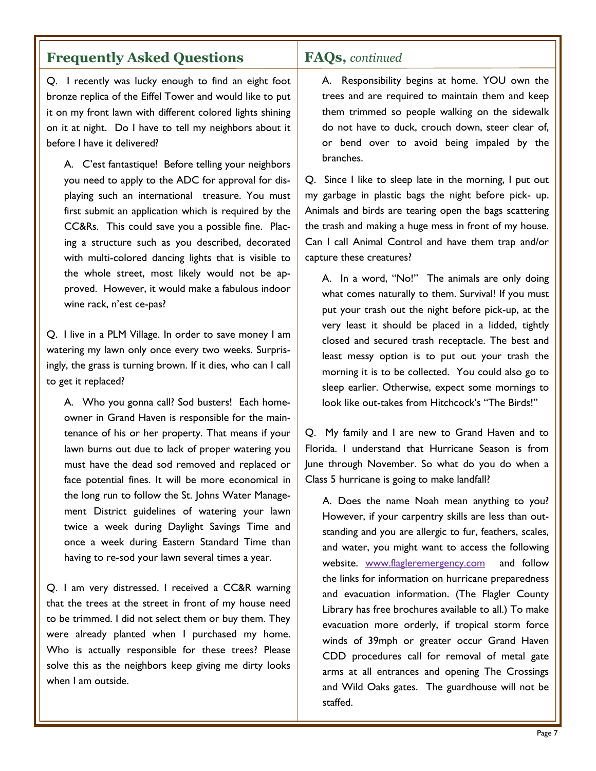# **Frequently Asked Questions**

Q. I recently was lucky enough to find an eight foot bronze replica of the Eiffel Tower and would like to put it on my front lawn with different colored lights shining on it at night. Do I have to tell my neighbors about it before I have it delivered?

A. C'est fantastique! Before telling your neighbors you need to apply to the ADC for approval for displaying such an international treasure. You must first submit an application which is required by the CC&Rs. This could save you a possible fine. Placing a structure such as you described, decorated with multi-colored dancing lights that is visible to the whole street, most likely would not be approved. However, it would make a fabulous indoor wine rack, n'est ce-pas?

Q. I live in a PLM Village. In order to save money I am watering my lawn only once every two weeks. Surprisingly, the grass is turning brown. If it dies, who can I call to get it replaced?

A. Who you gonna call? Sod busters! Each homeowner in Grand Haven is responsible for the maintenance of his or her property. That means if your lawn burns out due to lack of proper watering you must have the dead sod removed and replaced or face potential fines. It will be more economical in the long run to follow the St. Johns Water Management District guidelines of watering your lawn twice a week during Daylight Savings Time and once a week during Eastern Standard Time than having to re-sod your lawn several times a year.

Q. I am very distressed. I received a CC&R warning that the trees at the street in front of my house need to be trimmed. I did not select them or buy them. They were already planted when I purchased my home. Who is actually responsible for these trees? Please solve this as the neighbors keep giving me dirty looks when I am outside.

# **FAQs,** *continued*

A. Responsibility begins at home. YOU own the trees and are required to maintain them and keep them trimmed so people walking on the sidewalk do not have to duck, crouch down, steer clear of, or bend over to avoid being impaled by the branches.

Q. Since I like to sleep late in the morning, I put out my garbage in plastic bags the night before pick- up. Animals and birds are tearing open the bags scattering the trash and making a huge mess in front of my house. Can I call Animal Control and have them trap and/or capture these creatures?

A. In a word, "No!" The animals are only doing what comes naturally to them. Survival! If you must put your trash out the night before pick-up, at the very least it should be placed in a lidded, tightly closed and secured trash receptacle. The best and least messy option is to put out your trash the morning it is to be collected. You could also go to sleep earlier. Otherwise, expect some mornings to look like out-takes from Hitchcock's "The Birds!"

Q. My family and I are new to Grand Haven and to Florida. I understand that Hurricane Season is from June through November. So what do you do when a Class 5 hurricane is going to make landfall?

A. Does the name Noah mean anything to you? However, if your carpentry skills are less than outstanding and you are allergic to fur, feathers, scales, and water, you might want to access the following website. [www.flagleremergency.com](http://www.flagleremergency.com/) and follow the links for information on hurricane preparedness and evacuation information. (The Flagler County Library has free brochures available to all.) To make evacuation more orderly, if tropical storm force winds of 39mph or greater occur Grand Haven CDD procedures call for removal of metal gate arms at all entrances and opening The Crossings and Wild Oaks gates. The guardhouse will not be staffed.